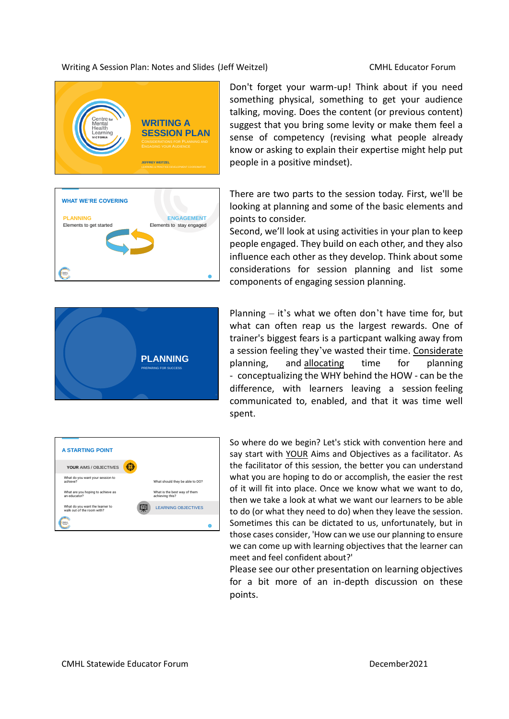### Writing A Session Plan: Notes and Slides (Jeff Weitzel) **CMHL Educator Forum**









Don't forget your warm-up! Think about if you need something physical, something to get your audience talking, moving. Does the content (or previous content) suggest that you bring some levity or make them feel a sense of competency (revising what people already know or asking to explain their expertise might help put people in a positive mindset).

There are two parts to the session today. First, we'll be looking at planning and some of the basic elements and points to consider.

Second, we'll look at using activities in your plan to keep people engaged. They build on each other, and they also influence each other as they develop. Think about some considerations for session planning and list some components of engaging session planning.

Planning – it's what we often don't have time for, but what can often reap us the largest rewards. One of trainer's biggest fears is a particpant walking away from a session feeling they've wasted their time. Considerate planning, and allocating time for planning - conceptualizing the WHY behind the HOW - can be the difference, with learners leaving a session feeling communicated to, enabled, and that it was time well spent.

So where do we begin? Let's stick with convention here and say start with YOUR Aims and Objectives as a facilitator. As the facilitator of this session, the better you can understand what you are hoping to do or accomplish, the easier the rest of it will fit into place. Once we know what we want to do, then we take a look at what we want our learners to be able to do (or what they need to do) when they leave the session. Sometimes this can be dictated to us, unfortunately, but in those cases consider, 'How can we use our planning to ensure we can come up with learning objectives that the learner can meet and feel confident about?'

Please see our other presentation on learning objectives for a bit more of an in-depth discussion on these points.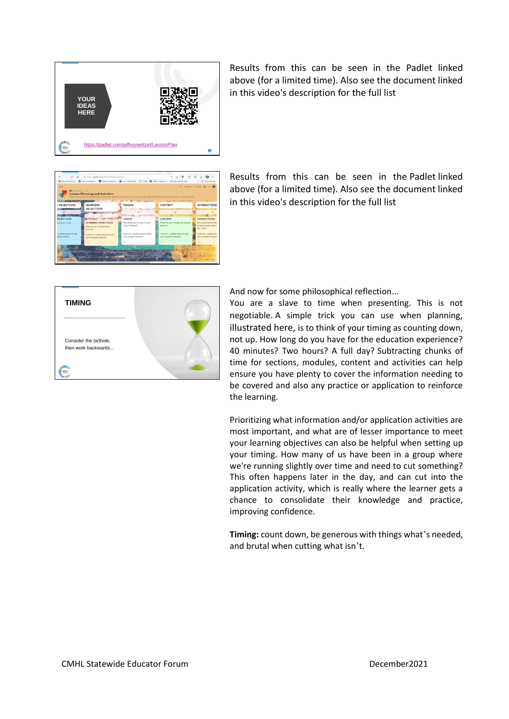

Results from this can be seen in the Padlet linked above (for a limited time). Also see the document linked in this video's description for the full list



Results from this can be seen in the Padlet linked above (for a limited time). Also see the document linked in this video's description for the full list



And now for some philosophical reflection...

You are a slave to time when presenting. This is not negotiable. A simple trick you can use when planning, illustrated here, is to think of your timing as counting down, not up. How long do you have for the education experience? 40 minutes? Two hours? A full day? Subtracting chunks of time for sections, modules, content and activities can help ensure you have plenty to cover the information needing to be covered and also any practice or application to reinforce the learning.

Prioritizing what information and/or application activities are most important, and what are of lesser importance to meet your learning objectives can also be helpful when setting up your timing. How many of us have been in a group where we're running slightly over time and need to cut something? This often happens later in the day, and can cut into the application activity, which is really where the learner gets a chance to consolidate their knowledge and practice, improving confidence.

**Timing:** count down, be generous with things what's needed, and brutal when cutting what isn't.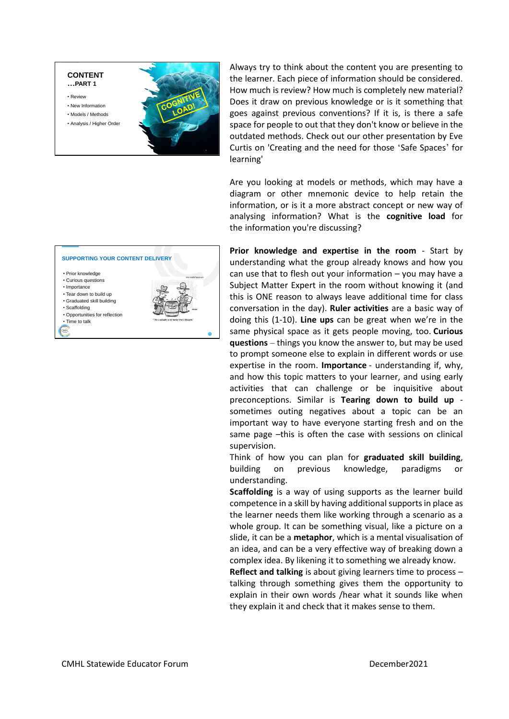## **CONTENT …PART 1** • Review • New Information • Models / Methods • Analysis / Higher Order

1

Always try to think about the content you are presenting to the learner. Each piece of information should be considered. How much is review? How much is completely new material? Does it draw on previous knowledge or is it something that goes against previous conventions? If it is, is there a safe space for people to out that they don't know or believe in the outdated methods. Check out our other presentation by Eve Curtis on 'Creating and the need for those 'Safe Spaces' for learning'

Are you looking at models or methods, which may have a diagram or other mnemonic device to help retain the information, or is it a more abstract concept or new way of analysing information? What is the **cognitive load** for the information you're discussing?

**Prior knowledge and expertise in the room** - Start by understanding what the group already knows and how you can use that to flesh out your information  $-$  you may have a Subject Matter Expert in the room without knowing it (and this is ONE reason to always leave additional time for class conversation in the day). **Ruler activities** are a basic way of doing this (1-10). **Line ups** can be great when we're in the same physical space as it gets people moving, too. **Curious questions** – things you know the answer to, but may be used to prompt someone else to explain in different words or use expertise in the room. **Importance** - understanding if, why, and how this topic matters to your learner, and using early activities that can challenge or be inquisitive about preconceptions. Similar is **Tearing down to build up** sometimes outing negatives about a topic can be an important way to have everyone starting fresh and on the same page –this is often the case with sessions on clinical supervision.

Think of how you can plan for **graduated skill building**, building on previous knowledge, paradigms understanding.

**Scaffolding** is a way of using supports as the learner build competence in a skill by having additional supports in place as the learner needs them like working through a scenario as a whole group. It can be something visual, like a picture on a slide, it can be a **metaphor**, which is a mental visualisation of an idea, and can be a very effective way of breaking down a complex idea. By likening it to something we already know.

**Reflect and talking** is about giving learners time to process – talking through something gives them the opportunity to explain in their own words /hear what it sounds like when they explain it and check that it makes sense to them.

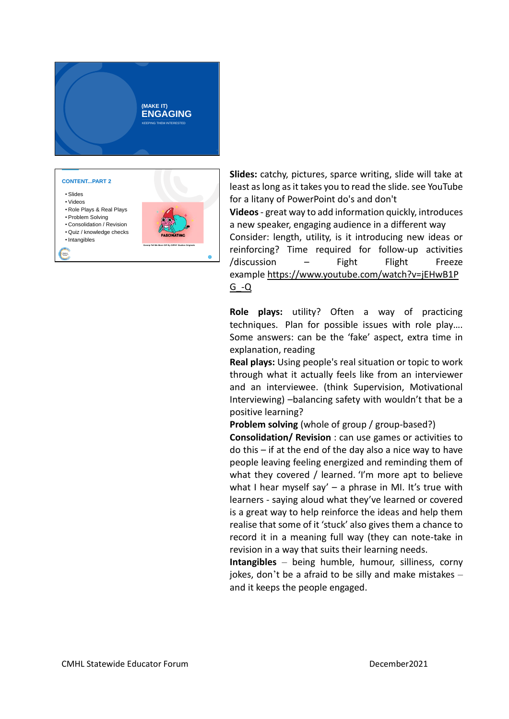



**Slides:** catchy, pictures, sparce writing, slide will take at least as long as it takes you to read the slide. see YouTube for a litany of PowerPoint do's and don't **Videos** - great way to add information quickly, introduces a new speaker, engaging audience in a different way Consider: length, utility, is it introducing new ideas or reinforcing? Time required for follow-up activities /discussion – Fight Flight Freeze example https://www.youtube.com/watch?v=jEHwB1P G\_-Q

**Role plays:** utility? Often a way of practicing techniques. Plan for possible issues with role play…. Some answers: can be the 'fake' aspect, extra time in explanation, reading

**Real plays:** Using people's real situation or topic to work through what it actually feels like from an interviewer and an interviewee. (think Supervision, Motivational Interviewing) –balancing safety with wouldn't that be a positive learning?

**Problem solving** (whole of group / group-based?)

**Consolidation/ Revision** : can use games or activities to do this – if at the end of the day also a nice way to have people leaving feeling energized and reminding them of what they covered / learned. 'I'm more apt to believe what I hear myself say'  $-$  a phrase in MI. It's true with learners - saying aloud what they've learned or covered is a great way to help reinforce the ideas and help them realise that some of it 'stuck' also gives them a chance to record it in a meaning full way (they can note-take in revision in a way that suits their learning needs.

**Intangibles** – being humble, humour, silliness, corny jokes, don't be a afraid to be silly and make mistakes – and it keeps the people engaged.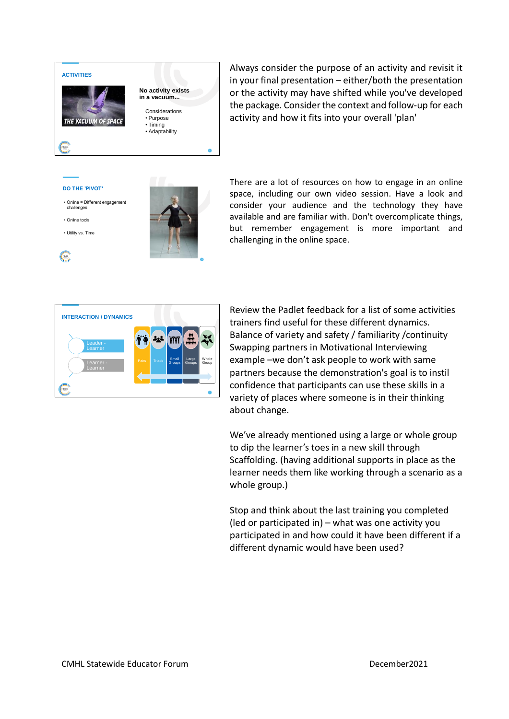

Always consider the purpose of an activity and revisit it in your final presentation – either/both the presentation or the activity may have shifted while you've developed the package. Consider the context and follow-up for each activity and how it fits into your overall 'plan'

#### DO THE **PIVOT**

 $\left(\begin{matrix} 1 & 0 \\ 0 & 0 \\ 0 & 0 \end{matrix}\right)$ 

| • Online = Different engagement<br>challenges |
|-----------------------------------------------|
| • Online tools                                |
| • Utility vs. Time                            |

There are a lot of resources on how to engage in an online space, including our own video session. Have a look and consider your audience and the technology they have available and are familiar with. Don't overcomplicate things, but remember engagement is more important and challenging in the online space.



Review the Padlet feedback for a list of some activities trainers find useful for these different dynamics. Balance of variety and safety / familiarity /continuity Swapping partners in Motivational Interviewing example –we don't ask people to work with same partners because the demonstration's goal is to instil confidence that participants can use these skills in a variety of places where someone is in their thinking about change.

We've already mentioned using a large or whole group to dip the learner's toes in a new skill through Scaffolding. (having additional supports in place as the learner needs them like working through a scenario as a whole group.)

Stop and think about the last training you completed (led or participated in) – what was one activity you participated in and how could it have been different if a different dynamic would have been used?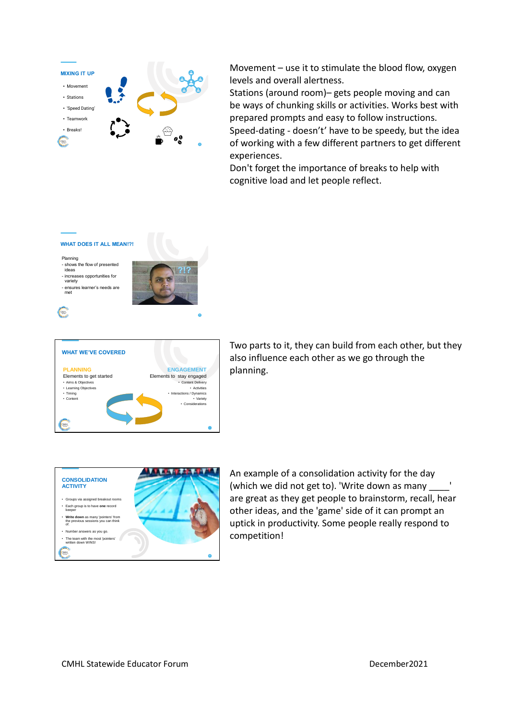

Movement – use it to stimulate the blood flow, oxygen levels and overall alertness.

Stations (around room)– gets people moving and can be ways of chunking skills or activities. Works best with prepared prompts and easy to follow instructions. Speed-dating - doesn't' have to be speedy, but the idea of working with a few different partners to get different experiences.

Don't forget the importance of breaks to help with cognitive load and let people reflect.



Two parts to it, they can build from each other, but they also influence each other as we go through the planning.



Ċ

An example of a consolidation activity for the day (which we did not get to). 'Write down as many are great as they get people to brainstorm, recall, hear other ideas, and the 'game' side of it can prompt an uptick in productivity. Some people really respond to competition!